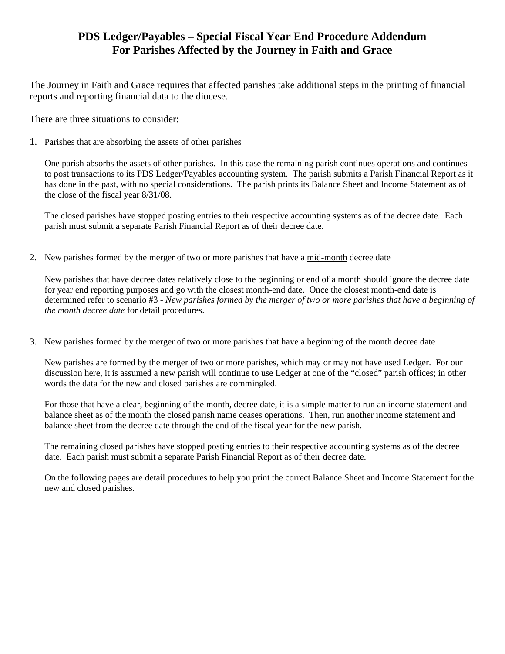# **PDS Ledger/Payables – Special Fiscal Year End Procedure Addendum For Parishes Affected by the Journey in Faith and Grace**

The Journey in Faith and Grace requires that affected parishes take additional steps in the printing of financial reports and reporting financial data to the diocese.

There are three situations to consider:

1. Parishes that are absorbing the assets of other parishes

One parish absorbs the assets of other parishes. In this case the remaining parish continues operations and continues to post transactions to its PDS Ledger/Payables accounting system. The parish submits a Parish Financial Report as it has done in the past, with no special considerations. The parish prints its Balance Sheet and Income Statement as of the close of the fiscal year 8/31/08.

The closed parishes have stopped posting entries to their respective accounting systems as of the decree date. Each parish must submit a separate Parish Financial Report as of their decree date.

2. New parishes formed by the merger of two or more parishes that have a mid-month decree date

New parishes that have decree dates relatively close to the beginning or end of a month should ignore the decree date for year end reporting purposes and go with the closest month-end date. Once the closest month-end date is determined refer to scenario #3 *- New parishes formed by the merger of two or more parishes that have a beginning of the month decree date* for detail procedures.

3. New parishes formed by the merger of two or more parishes that have a beginning of the month decree date

New parishes are formed by the merger of two or more parishes, which may or may not have used Ledger. For our discussion here, it is assumed a new parish will continue to use Ledger at one of the "closed" parish offices; in other words the data for the new and closed parishes are commingled.

For those that have a clear, beginning of the month, decree date, it is a simple matter to run an income statement and balance sheet as of the month the closed parish name ceases operations. Then, run another income statement and balance sheet from the decree date through the end of the fiscal year for the new parish.

The remaining closed parishes have stopped posting entries to their respective accounting systems as of the decree date. Each parish must submit a separate Parish Financial Report as of their decree date.

On the following pages are detail procedures to help you print the correct Balance Sheet and Income Statement for the new and closed parishes.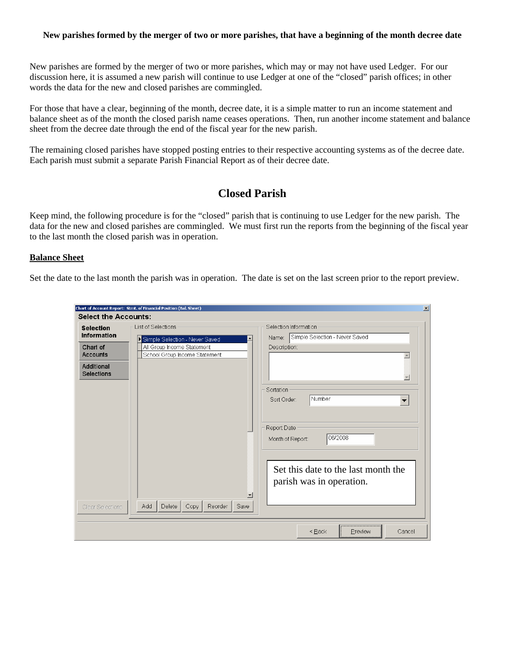#### **New parishes formed by the merger of two or more parishes, that have a beginning of the month decree date**

New parishes are formed by the merger of two or more parishes, which may or may not have used Ledger. For our discussion here, it is assumed a new parish will continue to use Ledger at one of the "closed" parish offices; in other words the data for the new and closed parishes are commingled.

For those that have a clear, beginning of the month, decree date, it is a simple matter to run an income statement and balance sheet as of the month the closed parish name ceases operations. Then, run another income statement and balance sheet from the decree date through the end of the fiscal year for the new parish.

The remaining closed parishes have stopped posting entries to their respective accounting systems as of the decree date. Each parish must submit a separate Parish Financial Report as of their decree date.

## **Closed Parish**

Keep mind, the following procedure is for the "closed" parish that is continuing to use Ledger for the new parish. The data for the new and closed parishes are commingled. We must first run the reports from the beginning of the fiscal year to the last month the closed parish was in operation.

#### **Balance Sheet**

Set the date to the last month the parish was in operation. The date is set on the last screen prior to the report preview.

|                                        | Chart of Account Report: Stmt. of Financial Position (Bal. Sheet)                      | $\vert x \vert$                                                 |
|----------------------------------------|----------------------------------------------------------------------------------------|-----------------------------------------------------------------|
| <b>Select the Accounts:</b>            |                                                                                        |                                                                 |
| <b>Selection</b><br><b>Information</b> | Selection Information<br>List of Selections<br>Name:<br>Simple Selection - Never Saved | Simple Selection - Never Saved                                  |
| Chart of<br><b>Accounts</b>            | All Group Income Statement<br>Description:<br>School Group Income Statement            | $\blacktriangle$                                                |
| Additional<br><b>Selections</b>        |                                                                                        | $\overline{\phantom{m}}$                                        |
|                                        | Sortation<br>Sort Order:                                                               | l Number                                                        |
|                                        | Report Date<br>Month of Report:                                                        | 06/2008                                                         |
|                                        | $\blacktriangledown$                                                                   | Set this date to the last month the<br>parish was in operation. |
| Clear Selections                       | Add<br>Delete<br>Reorder<br>Copy<br>Save                                               |                                                                 |
|                                        |                                                                                        | <back<br>Preview<br/>Cancel</back<br>                           |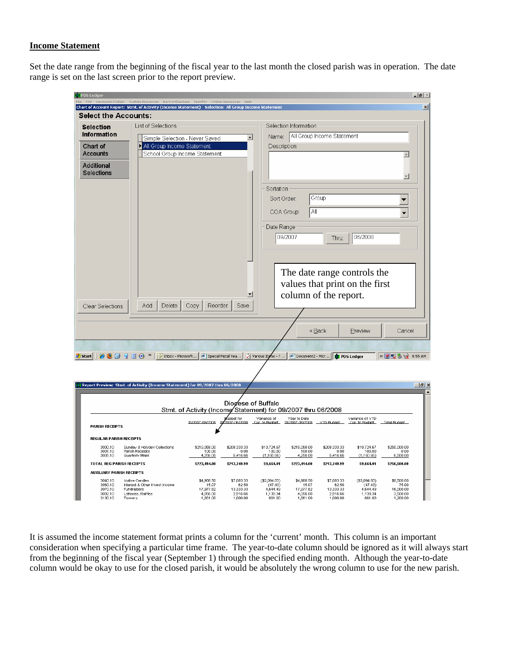### **Income Statement**

Set the date range from the beginning of the fiscal year to the last month the closed parish was in operation. The date range is set on the last screen prior to the report preview.

| <b>30 PDS Ledger</b>                      |                                                                                                                                                                                                                                                                                                                            |                                                               |                                         |                                     |                                               |                            |                                  | $-1$ $\sigma$ $\times$           |
|-------------------------------------------|----------------------------------------------------------------------------------------------------------------------------------------------------------------------------------------------------------------------------------------------------------------------------------------------------------------------------|---------------------------------------------------------------|-----------------------------------------|-------------------------------------|-----------------------------------------------|----------------------------|----------------------------------|----------------------------------|
|                                           | Edit Kevwords/Tables System-Processes Backun/Restore Test/Fix Online-Resources Heln<br>Chart of Account Report: Stmt. of Activity (Income Statement) Selection: All Group Income Statement                                                                                                                                 |                                                               |                                         |                                     |                                               |                            |                                  |                                  |
| <b>Select the Accounts:</b>               |                                                                                                                                                                                                                                                                                                                            |                                                               |                                         |                                     |                                               |                            |                                  |                                  |
| Selection                                 | List of Selections                                                                                                                                                                                                                                                                                                         |                                                               |                                         |                                     | Selection Information                         |                            |                                  |                                  |
| Information                               |                                                                                                                                                                                                                                                                                                                            | Simple Selection - Never Saved                                | $\overline{\phantom{a}}$                | Name:                               |                                               | All Group Income Statement |                                  |                                  |
| Chart of                                  | All Group Income Statement                                                                                                                                                                                                                                                                                                 |                                                               |                                         | Description:                        |                                               |                            |                                  |                                  |
| <b>Accounts</b>                           |                                                                                                                                                                                                                                                                                                                            | School Group Income Statement                                 |                                         |                                     |                                               |                            |                                  | $\blacktriangle$                 |
| Additional                                |                                                                                                                                                                                                                                                                                                                            |                                                               |                                         |                                     |                                               |                            |                                  |                                  |
| <b>Selections</b>                         |                                                                                                                                                                                                                                                                                                                            |                                                               |                                         |                                     |                                               |                            |                                  | $\overline{\phantom{a}}$         |
|                                           |                                                                                                                                                                                                                                                                                                                            |                                                               |                                         | Sortation                           |                                               |                            |                                  |                                  |
|                                           |                                                                                                                                                                                                                                                                                                                            |                                                               |                                         | Sort Order:                         |                                               | Group                      |                                  | ▼                                |
|                                           |                                                                                                                                                                                                                                                                                                                            |                                                               |                                         |                                     |                                               |                            |                                  |                                  |
|                                           |                                                                                                                                                                                                                                                                                                                            |                                                               |                                         | COA Group:                          | Αll                                           |                            |                                  | ▼                                |
|                                           |                                                                                                                                                                                                                                                                                                                            |                                                               |                                         | Date Range                          |                                               |                            |                                  |                                  |
|                                           |                                                                                                                                                                                                                                                                                                                            |                                                               |                                         |                                     | 09/2007                                       | Thru:                      | 06/2008                          |                                  |
|                                           |                                                                                                                                                                                                                                                                                                                            |                                                               |                                         |                                     |                                               |                            |                                  |                                  |
|                                           |                                                                                                                                                                                                                                                                                                                            |                                                               |                                         |                                     |                                               |                            |                                  |                                  |
|                                           |                                                                                                                                                                                                                                                                                                                            |                                                               |                                         |                                     |                                               |                            |                                  |                                  |
|                                           |                                                                                                                                                                                                                                                                                                                            |                                                               |                                         |                                     |                                               |                            | The date range controls the      |                                  |
|                                           |                                                                                                                                                                                                                                                                                                                            |                                                               |                                         |                                     |                                               |                            | values that print on the first   |                                  |
|                                           |                                                                                                                                                                                                                                                                                                                            |                                                               | ▾                                       |                                     | column of the report.                         |                            |                                  |                                  |
| Clear Selections                          | Add<br>Delete                                                                                                                                                                                                                                                                                                              | Copy<br>Reorder                                               | Save                                    |                                     |                                               |                            |                                  |                                  |
|                                           |                                                                                                                                                                                                                                                                                                                            |                                                               |                                         |                                     |                                               |                            |                                  |                                  |
|                                           |                                                                                                                                                                                                                                                                                                                            |                                                               |                                         |                                     |                                               | < <u>B</u> ack             | Preview                          | Cancel                           |
|                                           |                                                                                                                                                                                                                                                                                                                            |                                                               |                                         |                                     |                                               |                            |                                  |                                  |
|                                           |                                                                                                                                                                                                                                                                                                                            |                                                               | Special Fiscal Yea                      |                                     |                                               |                            |                                  |                                  |
| <b>d'i</b> Start                          | $\mathbb{C} \oplus \mathbb{C} \cup \mathbb{C} \cup \mathbb{C}$ and $\mathbb{C}$ in $\mathbb{C}$ in $\mathbb{C}$ in $\mathbb{C}$ in $\mathbb{C}$ in $\mathbb{C}$ in $\mathbb{C}$ in $\mathbb{C}$ in $\mathbb{C}$ in $\mathbb{C}$ in $\mathbb{C}$ in $\mathbb{C}$ in $\mathbb{C}$ in $\mathbb{C}$ in $\mathbb{C}$ in $\math$ |                                                               |                                         |                                     | Various Items - T   20 Document2 - Micr       |                            | PDS Ledger                       | « 2 要 % @ 8:55 AM                |
|                                           |                                                                                                                                                                                                                                                                                                                            |                                                               |                                         |                                     |                                               |                            |                                  |                                  |
|                                           | Report Preview: Stmt. of Activity (Income Statement) for 09/2007 thru 06/2008                                                                                                                                                                                                                                              |                                                               |                                         |                                     |                                               |                            |                                  | $-10x$                           |
|                                           |                                                                                                                                                                                                                                                                                                                            |                                                               |                                         |                                     |                                               |                            |                                  |                                  |
|                                           |                                                                                                                                                                                                                                                                                                                            |                                                               | Diogese of Buffalo                      |                                     |                                               |                            |                                  |                                  |
|                                           |                                                                                                                                                                                                                                                                                                                            | Stmt. of Activity (Income Statement) for 09/2007 thru 06/2008 |                                         |                                     |                                               |                            |                                  |                                  |
| <b>PARISH RECEIPTS</b>                    |                                                                                                                                                                                                                                                                                                                            | 19/2007-06/2008                                               | udget for<br>2007-06/2008 Cur_to Budget | Variance of                         | Year to Date<br>19/2007-06/2008 __ YTD Budget |                            | Variance of YTD<br>Cur to Budget | <b>Total Budget</b>              |
|                                           |                                                                                                                                                                                                                                                                                                                            |                                                               |                                         |                                     |                                               |                            |                                  |                                  |
| <b>REGULAR PARISH RECEIPTS</b><br>3000.10 |                                                                                                                                                                                                                                                                                                                            |                                                               |                                         |                                     |                                               | \$208,333.33               | \$10,724.67                      |                                  |
| 3001.10<br>3005.10                        | Sunday & Holyday Collections<br>Parish Receipts<br>Quarterly Maint                                                                                                                                                                                                                                                         | \$219,058.00<br>100.00<br>4,256.00                            | \$208,333.33<br>0.00<br>5,416.66        | \$10,724.67<br>100.00<br>(1,160.66) | \$219,058.00<br>100.00<br>4,256.00            | 0.00<br>5,416.66           | 100.00<br>(1,160.66)             | \$250,000.00<br>0.00<br>6,500.00 |
| TOTAL REG PARISH RECEIPTS                 |                                                                                                                                                                                                                                                                                                                            | \$223,414.00                                                  | \$213,749.99                            | \$9,664.01                          | \$223,414.00                                  | \$213,749.99               | \$9,664.01                       | \$256,500.00                     |
| <b>AUXILIARY PARISH RECEIPTS</b>          |                                                                                                                                                                                                                                                                                                                            |                                                               |                                         |                                     |                                               |                            |                                  |                                  |
| 3040.10<br>3060.10                        | Votive Candles<br>Interest & Other Invest Income                                                                                                                                                                                                                                                                           | \$4,988.50<br>15.07                                           | \$7,083.33<br>62.50                     | (\$2,094.83)<br>(47.43)             | \$4,988.50<br>15.07                           | \$7,083.33<br>62.50        | (\$2,094.83)<br>(47.43)          | \$8,500.00<br>75.00              |
| 3070.10<br>3092.10                        | <b>Fundraisers</b><br>Lotteries, Raffles                                                                                                                                                                                                                                                                                   | 17,977.82<br>4.056.00                                         | 13,333.33<br>2,916.66                   | 4.644.49<br>1,139.34                | 17,977.82<br>4,056.00                         | 13,333.33<br>2.916.66      | 4,644.49<br>1,139.34             | 16,000.00<br>3,500.00            |
| 3100.10                                   | Flowers                                                                                                                                                                                                                                                                                                                    | 1,661.00                                                      | 1,000.00                                | 661.00                              | 1,661.00                                      | 1,000.00                   | 661.00                           | 1,200.00                         |

It is assumed the income statement format prints a column for the 'current' month. This column is an important consideration when specifying a particular time frame. The year-to-date column should be ignored as it will always start from the beginning of the fiscal year (September 1) through the specified ending month. Although the year-to-date column would be okay to use for the closed parish, it would be absolutely the wrong column to use for the new parish.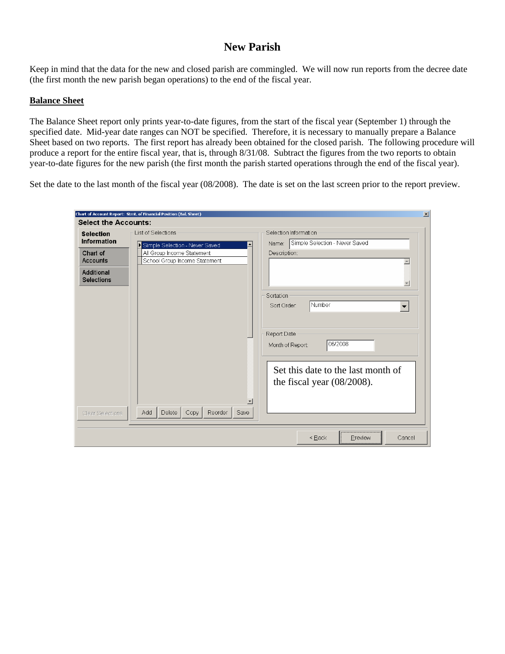# **New Parish**

Keep in mind that the data for the new and closed parish are commingled. We will now run reports from the decree date (the first month the new parish began operations) to the end of the fiscal year.

### **Balance Sheet**

The Balance Sheet report only prints year-to-date figures, from the start of the fiscal year (September 1) through the specified date. Mid-year date ranges can NOT be specified. Therefore, it is necessary to manually prepare a Balance Sheet based on two reports. The first report has already been obtained for the closed parish. The following procedure will produce a report for the entire fiscal year, that is, through 8/31/08. Subtract the figures from the two reports to obtain year-to-date figures for the new parish (the first month the parish started operations through the end of the fiscal year).

Set the date to the last month of the fiscal year (08/2008). The date is set on the last screen prior to the report preview.

|                                                                | Chart of Account Report: Stmt. of Financial Position (Bal. Sheet) | $\vert x \vert$                                                                                                                            |
|----------------------------------------------------------------|-------------------------------------------------------------------|--------------------------------------------------------------------------------------------------------------------------------------------|
| <b>Select the Accounts:</b>                                    |                                                                   |                                                                                                                                            |
| <b>Selection</b><br><b>Information</b>                         | List of Selections<br>Simple Selection - Never Saved              | Selection Information<br>Simple Selection - Never Saved<br>Name:                                                                           |
| Chart of<br><b>Accounts</b><br>Additional<br><b>Selections</b> | All Group Income Statement<br>School Group Income Statement       | Description:<br>$\blacktriangle$<br>$\overline{\mathbf{v}}$<br>Sortation                                                                   |
| Clear Selections                                               | $\blacktriangledown$<br>Add<br>Reorder<br>Delete<br>Copy<br>Save  | Number<br>Sort Order:<br>Report Date<br>06/2008<br>Month of Report:<br>Set this date to the last month of<br>the fiscal year $(08/2008)$ . |
|                                                                |                                                                   | Preview<br>< Back<br>Cancel                                                                                                                |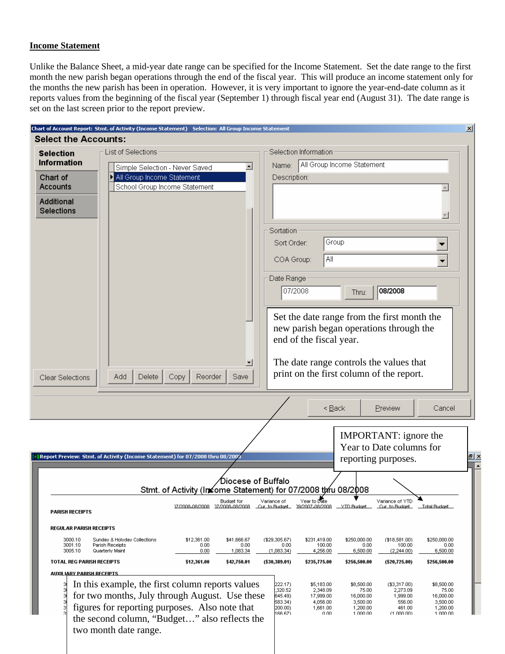### **Income Statement**

Unlike the Balance Sheet, a mid-year date range can be specified for the Income Statement. Set the date range to the first month the new parish began operations through the end of the fiscal year. This will produce an income statement only for the months the new parish has been in operation. However, it is very important to ignore the year-end-date column as it reports values from the beginning of the fiscal year (September 1) through fiscal year end (August 31). The date range is set on the last screen prior to the report preview.

|                                        | <b>Select the Accounts:</b>                                                                     |                                                               |                    |                              |                                               |                            |                                             |                      |
|----------------------------------------|-------------------------------------------------------------------------------------------------|---------------------------------------------------------------|--------------------|------------------------------|-----------------------------------------------|----------------------------|---------------------------------------------|----------------------|
|                                        | List of Selections                                                                              |                                                               |                    |                              | Selection Information                         |                            |                                             |                      |
| <b>Selection</b><br><b>Information</b> |                                                                                                 |                                                               |                    |                              |                                               |                            |                                             |                      |
|                                        | Simple Selection - Never Saved                                                                  |                                                               | $\blacktriangle$   | Name:                        |                                               | All Group Income Statement |                                             |                      |
| Chart of<br><b>Accounts</b>            | All Group Income Statement<br>School Group Income Statement                                     |                                                               |                    | Description:                 |                                               |                            |                                             |                      |
|                                        |                                                                                                 |                                                               |                    |                              |                                               |                            |                                             |                      |
| Additional                             |                                                                                                 |                                                               |                    |                              |                                               |                            |                                             |                      |
| <b>Selections</b>                      |                                                                                                 |                                                               |                    |                              |                                               |                            |                                             |                      |
|                                        |                                                                                                 |                                                               |                    | Sortation                    |                                               |                            |                                             |                      |
|                                        |                                                                                                 |                                                               |                    | Sort Order:                  |                                               | Group                      |                                             |                      |
|                                        |                                                                                                 |                                                               |                    |                              |                                               |                            |                                             |                      |
|                                        |                                                                                                 |                                                               |                    | COA Group:                   | All                                           |                            |                                             |                      |
|                                        |                                                                                                 |                                                               |                    |                              |                                               |                            |                                             |                      |
|                                        |                                                                                                 |                                                               |                    | Date Range                   |                                               |                            |                                             |                      |
|                                        |                                                                                                 |                                                               |                    |                              | 07/2008                                       | Thru:                      | 08/2008                                     |                      |
|                                        |                                                                                                 |                                                               |                    |                              |                                               |                            |                                             |                      |
|                                        |                                                                                                 |                                                               |                    |                              |                                               |                            | Set the date range from the first month the |                      |
|                                        |                                                                                                 |                                                               |                    |                              |                                               |                            | new parish began operations through the     |                      |
|                                        |                                                                                                 |                                                               |                    |                              | end of the fiscal year.                       |                            |                                             |                      |
|                                        |                                                                                                 |                                                               |                    |                              |                                               |                            |                                             |                      |
|                                        |                                                                                                 |                                                               |                    |                              |                                               |                            | The date range controls the values that     |                      |
| Clear Selections                       | Delete<br>Add                                                                                   |                                                               |                    |                              |                                               |                            |                                             |                      |
|                                        |                                                                                                 | Copy<br>Reorder                                               | Save               |                              |                                               |                            | print on the first column of the report.    |                      |
|                                        |                                                                                                 |                                                               |                    |                              |                                               |                            |                                             |                      |
|                                        |                                                                                                 |                                                               |                    |                              |                                               |                            |                                             |                      |
|                                        |                                                                                                 |                                                               |                    |                              |                                               | $<$ Back                   | Preview                                     | Cancel               |
|                                        |                                                                                                 |                                                               |                    |                              |                                               |                            |                                             |                      |
|                                        |                                                                                                 |                                                               |                    |                              |                                               |                            | <b>IMPORTANT:</b> ignore the                |                      |
|                                        |                                                                                                 |                                                               |                    |                              |                                               |                            | Year to Date columns for                    |                      |
|                                        | Report Preview: Stmt. of Activity (Income Statement) for 07/2008 thru 08/2008                   |                                                               |                    |                              |                                               |                            | reporting purposes.                         |                      |
|                                        |                                                                                                 |                                                               |                    |                              |                                               |                            |                                             |                      |
|                                        |                                                                                                 |                                                               | Diocese of Buffalo |                              |                                               |                            |                                             |                      |
|                                        |                                                                                                 | Stmt. of Activity (In≤ome Statement) for 07/2008 thru 08/2008 |                    |                              |                                               |                            |                                             |                      |
|                                        |                                                                                                 | 17/2008-08/2008 17/2008-08/2008                               | Budget for         | Variance of<br>Cur to Budget | Year to Date<br>19/2007-08/2008    VTD Budget |                            | Variance of YTD<br>Cur to Budget            | Total Budget         |
| <b>PARISH RECEIPTS</b>                 |                                                                                                 |                                                               |                    |                              |                                               |                            |                                             |                      |
| <b>REGULAR PARISH RECEIPTS</b>         |                                                                                                 |                                                               |                    |                              |                                               |                            |                                             |                      |
| 3000.10                                | Sunday & Holyday Collections                                                                    | \$12,361.00                                                   | \$41,666.67        | (\$29,305.67)                | \$231,419.00                                  | \$250,000.00               | (\$18,581.00)                               | \$250,000.00         |
| 3001.10<br>3005.10                     | Parish Receipts<br>Quarterly Maint                                                              | 0.00<br>0.00                                                  | 0.00<br>1,083.34   | 0.00<br>(1,083.34)           | 100.00<br>4,256.00                            | 0.00<br>6,500.00           | 100.00<br>(2,244.00)                        | 0.00<br>6,500.00     |
| TOTAL REG PARISH RECEIPTS              |                                                                                                 | \$12,361.00                                                   | \$42,750.01        | $(*30,389.01)$               | \$235,775.00                                  | \$256,500.00               | $(\$20,725.00)$                             | \$256,500.00         |
| <b>AUXILIARY PARISH RECEIPTS</b>       |                                                                                                 |                                                               |                    |                              |                                               |                            |                                             |                      |
|                                        |                                                                                                 |                                                               |                    | 222.17)                      | \$5,183.00                                    | \$8,500.00                 | (\$3,317.00)                                | \$8,500.00           |
|                                        | In this example, the first column reports values                                                |                                                               |                    | 320.52<br>645.49)            | 2,348.09<br>17,999.00                         | 75.00<br>16,000.00         | 2,273.09<br>1,999.00                        | 75.00<br>16,000.00   |
|                                        | for two months, July through August. Use these                                                  |                                                               |                    | 583.34)                      | 4,056.00                                      | 3,500.00                   | 556.00<br>461.00                            | 3,500.00             |
|                                        | figures for reporting purposes. Also note that<br>the second column, "Budget" also reflects the |                                                               |                    | 200.00)<br>166.67)           | 1,661.00<br>n nn                              | 1,200.00<br>1 000 00       | 71 በበበ በበነ                                  | 1,200.00<br>1 000 00 |